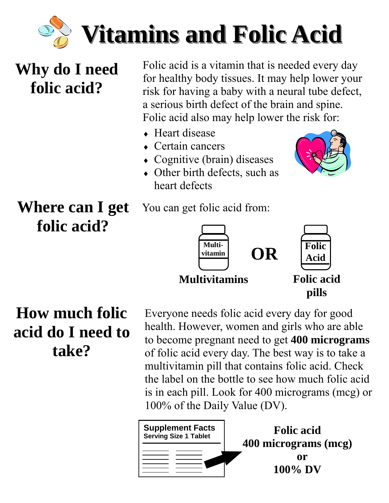

### **Why do I need folic acid?**

Folic acid is a vitamin that is needed every day for healthy body tissues. It may help lower your risk for having a baby with a neural tube defect, a serious birth defect of the brain and spine. Folic acid also may help lower the risk for:

- ♦ Heart disease
- $\leftarrow$  Certain cancers
- ♦ Cognitive (brain) diseases
- Other birth defects, such as heart defects



**Where can I get folic acid?** 







**pills** 

### **How much folic acid do I need to take?**

Everyone needs folic acid every day for good health. However, women and girls who are able to become pregnant need to get **400 micrograms**  of folic acid every day. The best way is to take a multivitamin pill that contains folic acid. Check the label on the bottle to see how much folic acid is in each pill. Look for 400 micrograms (mcg) or 100% of the Daily Value (DV).

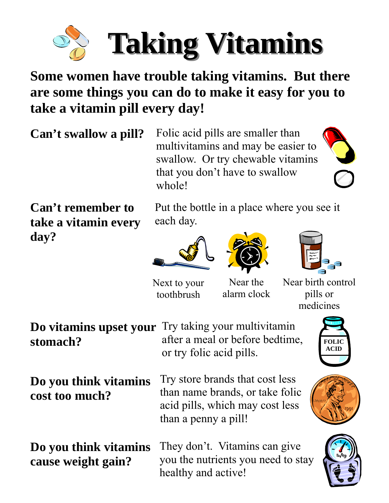

#### **Some women have trouble taking vitamins. But there are some things you can do to make it easy for you to take a vitamin pill every day!**

**Can't swallow a pill?**

Folic acid pills are smaller than multivitamins and may be easier to swallow. Or try chewable vitamins that you don't have to swallow whole!

**Can't remember to take a vitamin every day?** 

Put the bottle in a place where you see it each day.







Next to your toothbrush

Near the alarm clock Near birth control pills or medicines

|          | <b>Do vitamins upset your</b> Try taking your multivitamin |
|----------|------------------------------------------------------------|
| stomach? | after a meal or before bedtime,                            |
|          | or try folic acid pills.                                   |

**Do you think vitamins cost too much?**

Try store brands that cost less than name brands, or take folic acid pills, which may cost less than a penny a pill!

**Do you think vitamins cause weight gain?**

They don't. Vitamins can give you the nutrients you need to stay healthy and active!



**FOLIC** 

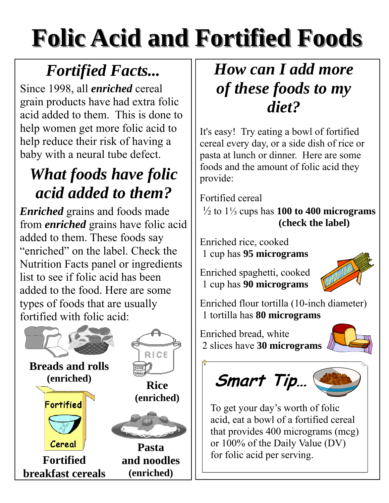# **Folic Acid and Fortified Foods Folic Acid and Fortified Foods**

### *Fortified Facts...*

Since 1998, all *enriched* cereal grain products have had extra folic acid added to them. This is done to help women get more folic acid to help reduce their risk of having a baby with a neural tube defect.

### *What foods have folic acid added to them?*

*Enriched* grains and foods made from *enriched* grains have folic acid added to them. These foods say "enriched" on the label. Check the Nutrition Facts panel or ingredients list to see if folic acid has been added to the food. Here are some types of foods that are usually fortified with folic acid:



### *How can I add more of these foods to my diet?*

It's easy! Try eating a bowl of fortified cereal every day, or a side dish of rice or pasta at lunch or dinner. Here are some foods and the amount of folic acid they provide:

Fortified cereal

 ½ to 1⅓ cups has **100 to 400 micrograms (check the label)** 

Enriched rice, cooked 1 cup has **95 micrograms**

Enriched spaghetti, cooked 1 cup has **90 micrograms**



Enriched flour tortilla (10-inch diameter) 1 tortilla has **80 micrograms**

Enriched bread, white 2 slices have **30 micrograms**



# **Smart Tip…**



To get your day's worth of folic acid, eat a bowl of a fortified cereal that provides 400 micrograms (mcg) or 100% of the Daily Value (DV) for folic acid per serving.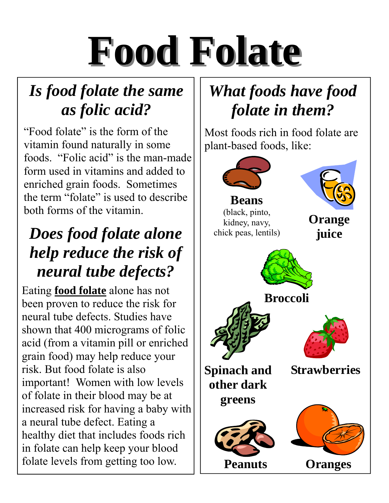# **Food Folate Food Folate**

### *Is food folate the same as folic acid?*

"Food folate" is the form of the vitamin found naturally in some foods. "Folic acid" is the man-made form used in vitamins and added to enriched grain foods. Sometimes the term "folate" is used to describe both forms of the vitamin.

### *Does food folate alone help reduce the risk of neural tube defects?*

Eating **food folate** alone has not been proven to reduce the risk for neural tube defects. Studies have shown that 400 micrograms of folic acid (from a vitamin pill or enriched grain food) may help reduce your risk. But food folate is also important! Women with low levels of folate in their blood may be at increased risk for having a baby with a neural tube defect. Eating a healthy diet that includes foods rich in folate can help keep your blood folate levels from getting too low.

### *What foods have food folate in them?*

Most foods rich in food folate are plant-based foods, like:

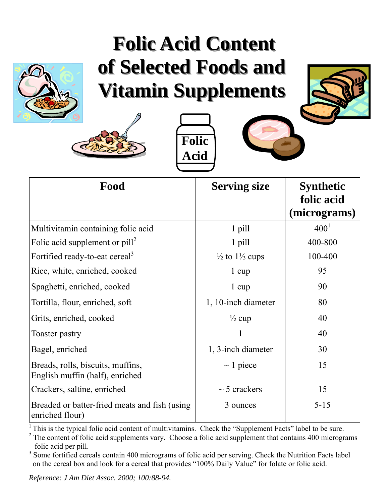## **Folic Acid Content Folic Acid Content**  of Selected Foods and **Vitamin Supplements Vitamin Supplements**









| Food                                                                 | <b>Serving size</b>                 | <b>Synthetic</b><br>folic acid<br>(micrograms) |
|----------------------------------------------------------------------|-------------------------------------|------------------------------------------------|
| Multivitamin containing folic acid                                   | 1 pill                              | $400^{1}$                                      |
| Folic acid supplement or $pill^2$                                    | 1 pill                              | 400-800                                        |
| Fortified ready-to-eat cereal <sup>3</sup>                           | $\frac{1}{2}$ to $\frac{1}{3}$ cups | 100-400                                        |
| Rice, white, enriched, cooked                                        | $1 \text{ cup}$                     | 95                                             |
| Spaghetti, enriched, cooked                                          | $1 \text{ cup}$                     | 90                                             |
| Tortilla, flour, enriched, soft                                      | 1, 10-inch diameter                 | 80                                             |
| Grits, enriched, cooked                                              | $\frac{1}{2}$ cup                   | 40                                             |
| Toaster pastry                                                       |                                     | 40                                             |
| Bagel, enriched                                                      | 1, 3-inch diameter                  | 30                                             |
| Breads, rolls, biscuits, muffins,<br>English muffin (half), enriched | $\sim$ 1 piece                      | 15                                             |
| Crackers, saltine, enriched                                          | $\sim$ 5 crackers                   | 15                                             |
| Breaded or batter-fried meats and fish (using<br>enriched flour)     | 3 ounces                            | $5 - 15$                                       |

<sup>1</sup> This is the typical folic acid content of multivitamins. Check the "Supplement Facts" label to be sure.

 $2$  The content of folic acid supplements vary. Choose a folic acid supplement that contains 400 micrograms folic acid per pill.

<sup>3</sup> Some fortified cereals contain 400 micrograms of folic acid per serving. Check the Nutrition Facts label on the cereal box and look for a cereal that provides "100% Daily Value" for folate or folic acid.

*Reference: J Am Diet Assoc. 2000; 100:88-94.*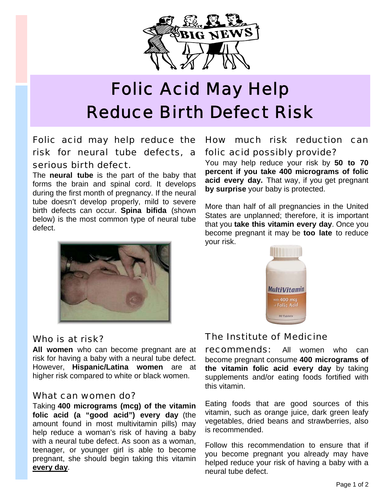

### Folic Acid May Help Reduce Birth Defect Risk

#### Folic acid may help reduce the risk for neural tube defects, a serious birth defect.

The **neural tube** is the part of the baby that forms the brain and spinal cord. It develops during the first month of pregnancy. If the neural tube doesn't develop properly, mild to severe birth defects can occur. **Spina bifida** (shown below) is the most common type of neural tube defect.



#### Who is at risk?

**All women** who can become pregnant are at risk for having a baby with a neural tube defect. However, **Hispanic/Latina women** are at higher risk compared to white or black women.

#### What can women do?

Taking **400 micrograms (mcg) of the vitamin folic acid (a "good acid") every day** (the amount found in most multivitamin pills) may help reduce a woman's risk of having a baby with a neural tube defect. As soon as a woman, teenager, or younger girl is able to become pregnant, she should begin taking this vitamin **every day**.

#### How much risk reduction can folic acid possibly provide?

You may help reduce your risk by **50 to 70 percent if you take 400 micrograms of folic acid every day.** That way, if you get pregnant **by surprise** your baby is protected.

More than half of all pregnancies in the United States are unplanned; therefore, it is important that you **take this vitamin every day**. Once you become pregnant it may be **too late** to reduce your risk.



#### The Institute of Medicine

**recommends:** All women who can become pregnant consume **400 micrograms of the vitamin folic acid every day** by taking supplements and/or eating foods fortified with this vitamin.

Eating foods that are good sources of this vitamin, such as orange juice, dark green leafy vegetables, dried beans and strawberries, also is recommended.

Follow this recommendation to ensure that if you become pregnant you already may have helped reduce your risk of having a baby with a neural tube defect.